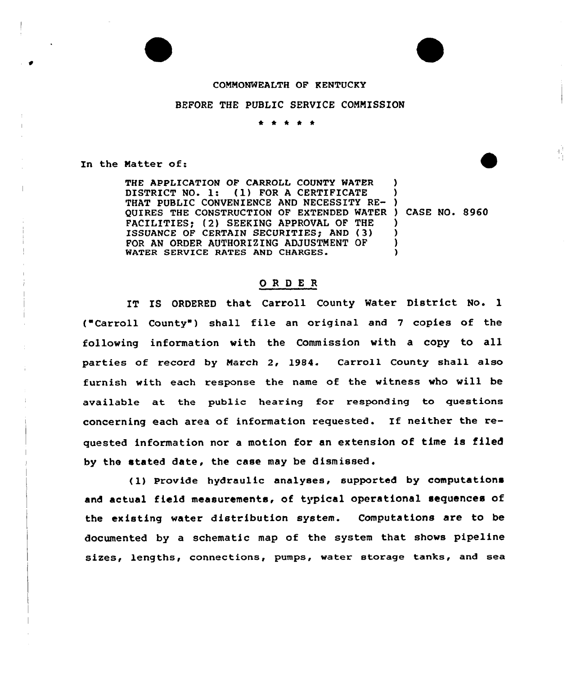## CONNONWEALTH OF KENTUCKY

## BEFORE THE PUBLIC SERVICE COMMISSION

\* \* \* \* \*

In the Natter of:

THE APPLICATION OF CARROLL COUNTY WATER DISTRICT NO. l: (l) FOR <sup>A</sup> CERTIFICATE DISTRICT NO. 1: (1) FOR A CERTIFICATE )<br>THAT PUBLIC CONVENIENCE AND NECESSITY RE- ) QUIRES THE CONSTRUCTION OF EXTENDED WATER ) CASE NO. 8960 FACILITIES; (2) SEEKING APPROVAL OF THE ISSUANCE OF CERTAIN SECURITIES; AND (3) FOR AN ORDER AUTHORIZING ADJUSTMENT OF WATER SERVICE RATES AND CHARGES. ) ) ) ) ) )

췊

## ORDER

IT IS ORDERED that Carroll County Water District No. 1 ( Carroll County ) shall file an original and <sup>7</sup> copies of the following information with the Commission vith a copy to all parties of record by March 2, 1984. Carroll County shall also furnish with each response the name of the witness who vill be available at the public hearing for responding to questions concerning each area of information requested. If neither the requested information nor a motion for an extension of time is filed by the stated date, the case may be dismissed.

(l) Provide hydraulic analyses, supported by computations and actual field measurements, of typical operational sequences of the existing water distribution system. Computations are to be documented by a schematic map of the system that shows pipeline sizes, lengths, connections, pumps, water storage tanks, and sea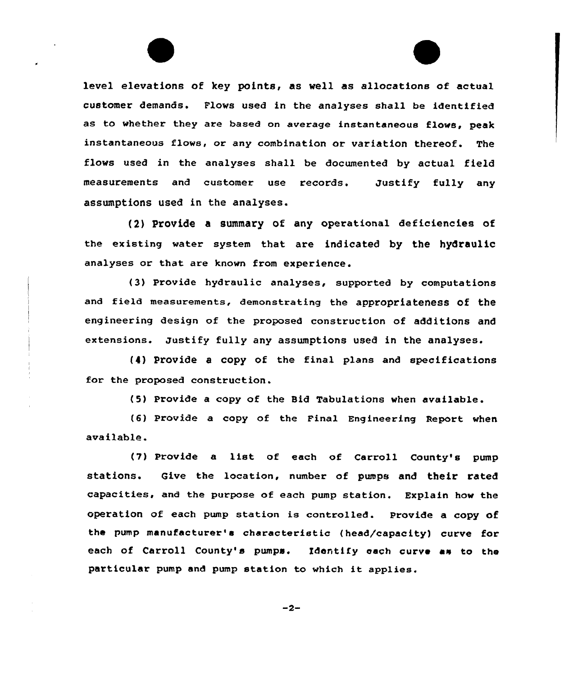level elevations of key points, as well as allocations of actual customer demands. Flows used in the analyses shall be identified as to whether they are based on average instantaneous flows, peak instantaneous flows, or any combination or variation thereof. The flows used in the analyses shall be documented by actual field measurements and customer use records. Justify fully any assumptions used in the analyses.

(2) Provide a summary of any operational deficiencies of the existing water system that are indicated by the hydraulic analyses or that are known from experience.

(3) Provide hydraulic analyses, supported by computations and field measurements, demonstrating the appropriateness of the engineering design of the proposed construction of additions and extensions. Justify fully any assumptions used in the analyses.

(4) Provide a copy of the final plans and specifications for the proposed construction.

(5) Provide a copy of the Bid Tabulations when available.

(6) provide a copy of the Final Engineering Report when available.

(7) Provide <sup>a</sup> list of each of Carroll County's pump stations. Give the location, number of pumps and their rated capacities, and the purpose ot each pump station. Explain how the operation of each pump station is controlled. Provide a copy of the pump manufacturer'e characteristic {head/capacity) curve for each of Carroll County's pumps. Identify each curve as to the particular pump and pump station to which it applies.

 $-2-$